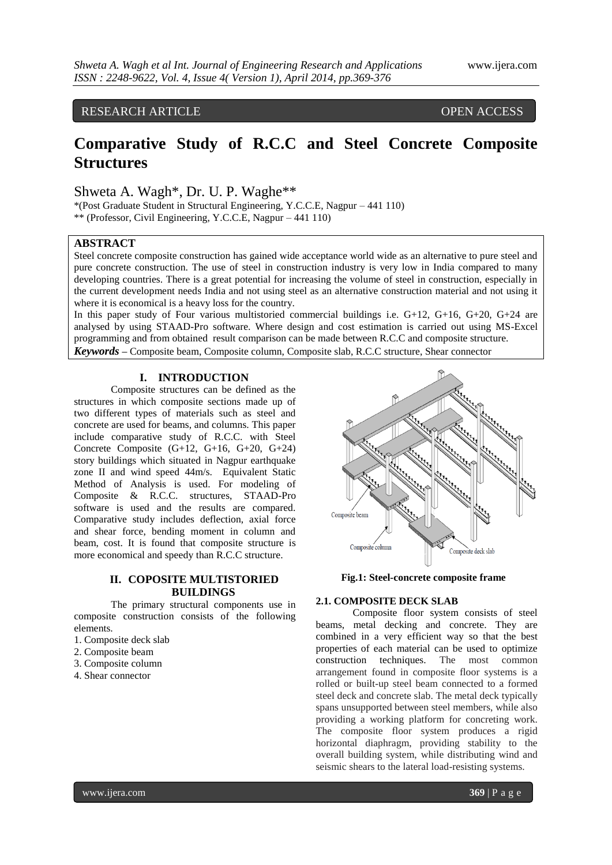# RESEARCH ARTICLE OPEN ACCESS

# **Comparative Study of R.C.C and Steel Concrete Composite Structures**

Shweta A. Wagh\*, Dr. U. P. Waghe\*\*

\*(Post Graduate Student in Structural Engineering, Y.C.C.E, Nagpur – 441 110) \*\* (Professor, Civil Engineering, Y.C.C.E, Nagpur – 441 110)

# **ABSTRACT**

Steel concrete composite construction has gained wide acceptance world wide as an alternative to pure steel and pure concrete construction. The use of steel in construction industry is very low in India compared to many developing countries. There is a great potential for increasing the volume of steel in construction, especially in the current development needs India and not using steel as an alternative construction material and not using it where it is economical is a heavy loss for the country.

In this paper study of Four various multistoried commercial buildings i.e. G+12, G+16, G+20, G+24 are analysed by using STAAD-Pro software. Where design and cost estimation is carried out using MS-Excel programming and from obtained result comparison can be made between R.C.C and composite structure. *Keywords* **–** Composite beam, Composite column, Composite slab, R.C.C structure, Shear connector

## **I. INTRODUCTION**

Composite structures can be defined as the structures in which composite sections made up of two different types of materials such as steel and concrete are used for beams, and columns. This paper include comparative study of R.C.C. with Steel Concrete Composite  $(G+12, G+16, G+20, G+24)$ story buildings which situated in Nagpur earthquake zone II and wind speed 44m/s. Equivalent Static Method of Analysis is used. For modeling of Composite & R.C.C. structures, STAAD-Pro software is used and the results are compared. Comparative study includes deflection, axial force and shear force, bending moment in column and beam, cost. It is found that composite structure is more economical and speedy than R.C.C structure.

# **II. COPOSITE MULTISTORIED BUILDINGS**

The primary structural components use in composite construction consists of the following elements.

- 1. Composite deck slab
- 2. Composite beam
- 3. Composite column
- 4. Shear connector



 **Fig.1: Steel-concrete composite frame**

# **2.1. COMPOSITE DECK SLAB**

Composite floor system consists of steel beams, metal decking and concrete. They are combined in a very efficient way so that the best properties of each material can be used to optimize construction techniques. The most common arrangement found in composite floor systems is a rolled or built-up steel beam connected to a formed steel deck and concrete slab. The metal deck typically spans unsupported between steel members, while also providing a working platform for concreting work. The composite floor system produces a rigid horizontal diaphragm, providing stability to the overall building system, while distributing wind and seismic shears to the lateral load-resisting systems.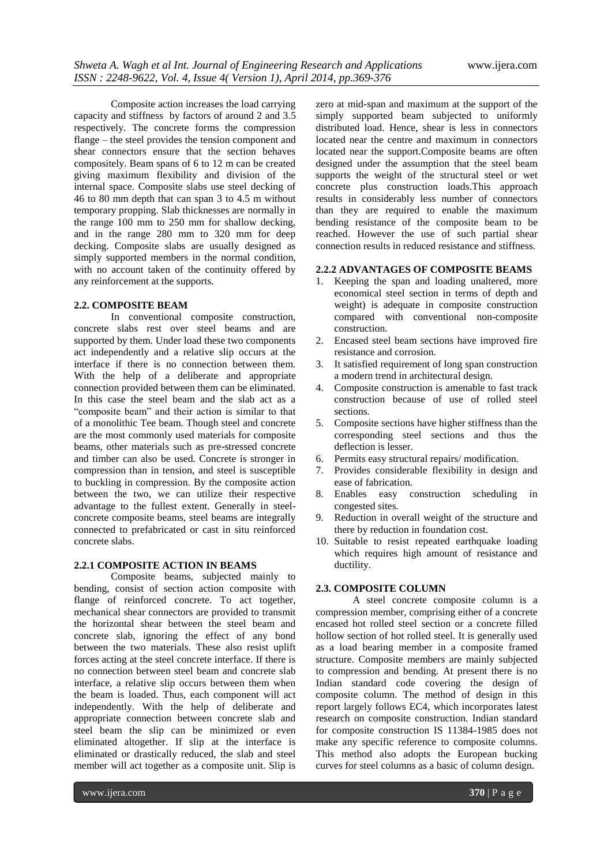Composite action increases the load carrying capacity and stiffness by factors of around 2 and 3.5 respectively. The concrete forms the compression flange – the steel provides the tension component and shear connectors ensure that the section behaves compositely. Beam spans of 6 to 12 m can be created giving maximum flexibility and division of the internal space. Composite slabs use steel decking of 46 to 80 mm depth that can span 3 to 4.5 m without temporary propping. Slab thicknesses are normally in the range 100 mm to 250 mm for shallow decking, and in the range 280 mm to 320 mm for deep decking. Composite slabs are usually designed as simply supported members in the normal condition, with no account taken of the continuity offered by any reinforcement at the supports.

#### **2.2. COMPOSITE BEAM**

In conventional composite construction, concrete slabs rest over steel beams and are supported by them. Under load these two components act independently and a relative slip occurs at the interface if there is no connection between them. With the help of a deliberate and appropriate connection provided between them can be eliminated. In this case the steel beam and the slab act as a "composite beam" and their action is similar to that of a monolithic Tee beam. Though steel and concrete are the most commonly used materials for composite beams, other materials such as pre-stressed concrete and timber can also be used. Concrete is stronger in compression than in tension, and steel is susceptible to buckling in compression. By the composite action between the two, we can utilize their respective advantage to the fullest extent. Generally in steelconcrete composite beams, steel beams are integrally connected to prefabricated or cast in situ reinforced concrete slabs.

#### **2.2.1 COMPOSITE ACTION IN BEAMS**

Composite beams, subjected mainly to bending, consist of section action composite with flange of reinforced concrete. To act together, mechanical shear connectors are provided to transmit the horizontal shear between the steel beam and concrete slab, ignoring the effect of any bond between the two materials. These also resist uplift forces acting at the steel concrete interface. If there is no connection between steel beam and concrete slab interface, a relative slip occurs between them when the beam is loaded. Thus, each component will act independently. With the help of deliberate and appropriate connection between concrete slab and steel beam the slip can be minimized or even eliminated altogether. If slip at the interface is eliminated or drastically reduced, the slab and steel member will act together as a composite unit. Slip is

zero at mid-span and maximum at the support of the simply supported beam subjected to uniformly distributed load. Hence, shear is less in connectors located near the centre and maximum in connectors located near the support.Composite beams are often designed under the assumption that the steel beam supports the weight of the structural steel or wet concrete plus construction loads.This approach results in considerably less number of connectors than they are required to enable the maximum bending resistance of the composite beam to be reached. However the use of such partial shear connection results in reduced resistance and stiffness.

# **2.2.2 ADVANTAGES OF COMPOSITE BEAMS**

- 1. Keeping the span and loading unaltered, more economical steel section in terms of depth and weight) is adequate in composite construction compared with conventional non-composite construction.
- 2. Encased steel beam sections have improved fire resistance and corrosion.
- 3. It satisfied requirement of long span construction a modern trend in architectural design.
- 4. Composite construction is amenable to fast track construction because of use of rolled steel sections.
- 5. Composite sections have higher stiffness than the corresponding steel sections and thus the deflection is lesser.
- 6. Permits easy structural repairs/ modification.
- 7. Provides considerable flexibility in design and ease of fabrication.
- 8. Enables easy construction scheduling in congested sites.
- 9. Reduction in overall weight of the structure and there by reduction in foundation cost.
- 10. Suitable to resist repeated earthquake loading which requires high amount of resistance and ductility.

# **2.3. COMPOSITE COLUMN**

A steel concrete composite column is a compression member, comprising either of a concrete encased hot rolled steel section or a concrete filled hollow section of hot rolled steel. It is generally used as a load bearing member in a composite framed structure. Composite members are mainly subjected to compression and bending. At present there is no Indian standard code covering the design of composite column. The method of design in this report largely follows EC4, which incorporates latest research on composite construction. Indian standard for composite construction IS 11384-1985 does not make any specific reference to composite columns. This method also adopts the European bucking curves for steel columns as a basic of column design.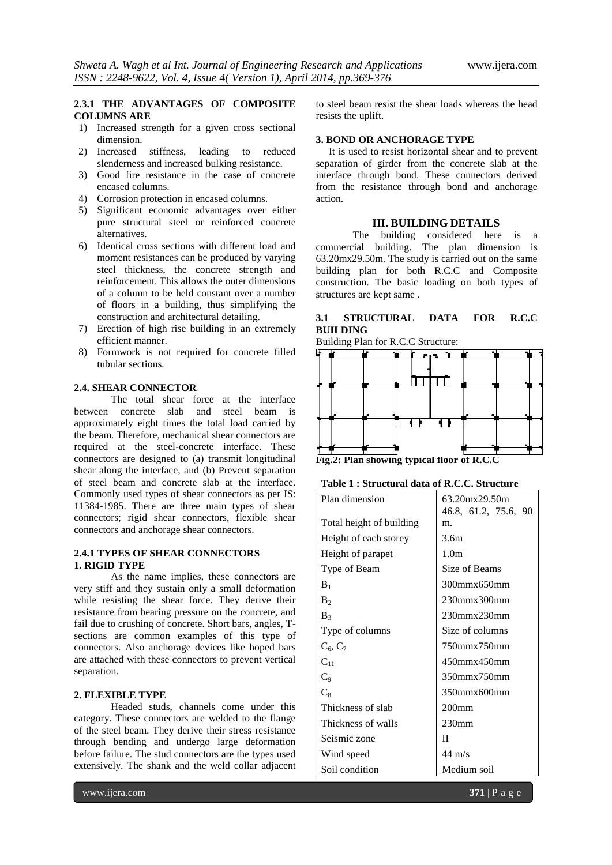# **2.3.1 THE ADVANTAGES OF COMPOSITE COLUMNS ARE**

- 1) Increased strength for a given cross sectional dimension.
- 2) Increased stiffness, leading to reduced slenderness and increased bulking resistance.
- 3) Good fire resistance in the case of concrete encased columns.
- 4) Corrosion protection in encased columns.
- 5) Significant economic advantages over either pure structural steel or reinforced concrete alternatives.
- 6) Identical cross sections with different load and moment resistances can be produced by varying steel thickness, the concrete strength and reinforcement. This allows the outer dimensions of a column to be held constant over a number of floors in a building, thus simplifying the construction and architectural detailing.
- 7) Erection of high rise building in an extremely efficient manner.
- 8) Formwork is not required for concrete filled tubular sections.

# **2.4. SHEAR CONNECTOR**

The total shear force at the interface between concrete slab and steel beam is approximately eight times the total load carried by the beam. Therefore, mechanical shear connectors are required at the steel-concrete interface. These connectors are designed to (a) transmit longitudinal shear along the interface, and (b) Prevent separation of steel beam and concrete slab at the interface. Commonly used types of shear connectors as per IS: 11384-1985. There are three main types of shear connectors; rigid shear connectors, flexible shear connectors and anchorage shear connectors.

#### **2.4.1 TYPES OF SHEAR CONNECTORS 1. RIGID TYPE**

As the name implies, these connectors are very stiff and they sustain only a small deformation while resisting the shear force. They derive their resistance from bearing pressure on the concrete, and fail due to crushing of concrete. Short bars, angles, Tsections are common examples of this type of connectors. Also anchorage devices like hoped bars are attached with these connectors to prevent vertical separation.

#### **2. FLEXIBLE TYPE**

Headed studs, channels come under this category. These connectors are welded to the flange of the steel beam. They derive their stress resistance through bending and undergo large deformation before failure. The stud connectors are the types used extensively. The shank and the weld collar adjacent

## **3. BOND OR ANCHORAGE TYPE**

It is used to resist horizontal shear and to prevent separation of girder from the concrete slab at the interface through bond. These connectors derived from the resistance through bond and anchorage action.

## **III. BUILDING DETAILS**

The building considered here is a commercial building. The plan dimension is 63.20mx29.50m. The study is carried out on the same building plan for both R.C.C and Composite construction. The basic loading on both types of structures are kept same .

# **3.1 STRUCTURAL DATA FOR R.C.C BUILDING**

Building Plan for R.C.C Structure:



**Fig.2: Plan showing typical floor of R.C.C**

#### **Table 1 : Structural data of R.C.C. Structure**

| Plan dimension           | 63.20mx29.50m        |  |  |  |  |
|--------------------------|----------------------|--|--|--|--|
|                          | 46.8, 61.2, 75.6, 90 |  |  |  |  |
| Total height of building | m.                   |  |  |  |  |
| Height of each storey    | 3.6m                 |  |  |  |  |
| Height of parapet        | 1.0 <sub>m</sub>     |  |  |  |  |
| Type of Beam             | Size of Beams        |  |  |  |  |
| $B_1$                    | 300mmx650mm          |  |  |  |  |
| B <sub>2</sub>           | $230$ mmx $300$ mm   |  |  |  |  |
| $B_3$                    | $230$ mmx $230$ mm   |  |  |  |  |
| Type of columns          | Size of columns      |  |  |  |  |
| $C_6, C_7$               | 750mmx750mm          |  |  |  |  |
| $\mathrm{C}_{11}$        | 450mmx450mm          |  |  |  |  |
| $C_9$                    | 350mmx750mm          |  |  |  |  |
| $C_8$                    | 350mmx600mm          |  |  |  |  |
| Thickness of slab        | 200 <sub>mm</sub>    |  |  |  |  |
| Thickness of walls       | 230 <sub>mm</sub>    |  |  |  |  |
| Seismic zone             | П                    |  |  |  |  |
| Wind speed               | $44 \text{ m/s}$     |  |  |  |  |
| Soil condition           | Medium soil          |  |  |  |  |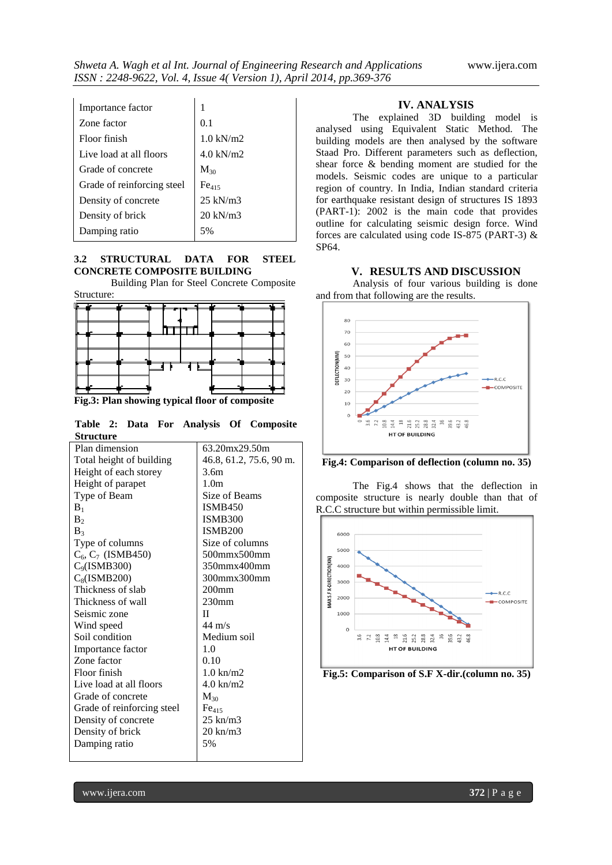| Importance factor          |                     |
|----------------------------|---------------------|
| Zone factor                | 0.1                 |
| Floor finish               | $1.0 \text{ kN/m2}$ |
| Live load at all floors    | $4.0 \text{ kN/m2}$ |
| Grade of concrete          | $M_{30}$            |
| Grade of reinforcing steel | Fe <sub>415</sub>   |
| Density of concrete        | $25 \text{ kN/m}$ 3 |
| Density of brick           | $20 \text{ kN/m}$ 3 |
| Damping ratio              |                     |

## **3.2 STRUCTURAL DATA FOR STEEL CONCRETE COMPOSITE BUILDING**

Building Plan for Steel Concrete Composite Structure:



**Fig.3: Plan showing typical floor of composite**

|                  |  |  | Table 2: Data For Analysis Of Composite |
|------------------|--|--|-----------------------------------------|
| <b>Structure</b> |  |  |                                         |

| sa acaa c                  |                         |
|----------------------------|-------------------------|
| Plan dimension             | 63.20mx29.50m           |
| Total height of building   | 46.8, 61.2, 75.6, 90 m. |
| Height of each storey      | 3.6m                    |
| Height of parapet          | 1.0 <sub>m</sub>        |
| Type of Beam               | Size of Beams           |
| $B_1$                      | <b>ISMB450</b>          |
| B <sub>2</sub>             | <b>ISMB300</b>          |
| B <sub>3</sub>             | <b>ISMB200</b>          |
| Type of columns            | Size of columns         |
| $C_6$ , $C_7$ (ISMB450)    | 500mmx500mm             |
| $C_9$ (ISMB300)            | 350mmx400mm             |
| $C_8$ (ISMB200)            | 300mmx300mm             |
| Thickness of slab          | 200 <sub>mm</sub>       |
| Thickness of wall          | 230 <sub>mm</sub>       |
| Seismic zone               | П                       |
| Wind speed                 | $44 \text{ m/s}$        |
| Soil condition             | Medium soil             |
| Importance factor          | 1.0                     |
| Zone factor                | 0.10                    |
| Floor finish               | $1.0 \text{ km/m2}$     |
| Live load at all floors    | $4.0 \text{ km/m2}$     |
| Grade of concrete          | $M_{30}$                |
| Grade of reinforcing steel | Fe <sub>415</sub>       |
| Density of concrete        | $25 \text{ km/m}$ 3     |
| Density of brick           | $20 \text{ km/m}$ 3     |
| Damping ratio              | 5%                      |
|                            |                         |

# **IV. ANALYSIS**

The explained 3D building model is analysed using Equivalent Static Method. The building models are then analysed by the software Staad Pro. Different parameters such as deflection, shear force & bending moment are studied for the models. Seismic codes are unique to a particular region of country. In India, Indian standard criteria for earthquake resistant design of structures IS 1893 (PART-1): 2002 is the main code that provides outline for calculating seismic design force. Wind forces are calculated using code IS-875 (PART-3) & SP64.

#### **V. RESULTS AND DISCUSSION**

Analysis of four various building is done and from that following are the results.



**Fig.4: Comparison of deflection (column no. 35)**

The Fig.4 shows that the deflection in composite structure is nearly double than that of R.C.C structure but within permissible limit.



**Fig.5: Comparison of S.F X-dir.(column no. 35)**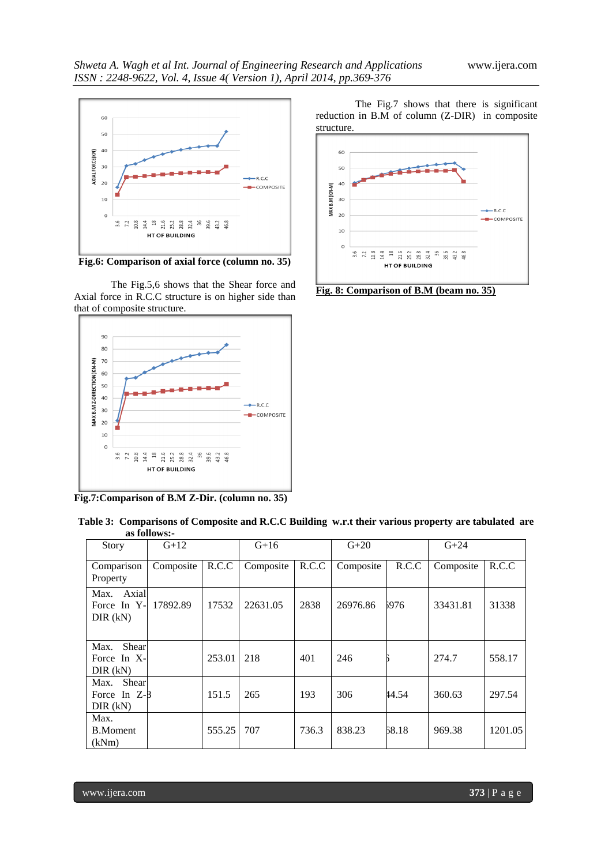

**Fig.6: Comparison of axial force (column no. 35)**

The Fig.5,6 shows that the Shear force and Axial force in R.C.C structure is on higher side than that of composite structure.



**Fig.7:Comparison of B.M Z-Dir. (column no. 35)**

The Fig.7 shows that there is significant reduction in B.M of column (Z-DIR) in composite structure.



**Fig. 8: Comparison of B.M (beam no. 35)**

|                                                | as Iviiuws.-            |       |           |       |           |       |           |       |
|------------------------------------------------|-------------------------|-------|-----------|-------|-----------|-------|-----------|-------|
| Story                                          | $G+12$                  |       | $G+16$    |       | $G+20$    |       | $G + 24$  |       |
| Comparison<br>Property                         | Composite $\vert$ R.C.C |       | Composite | R.C.C | Composite | R.C.C | Composite | R.C.C |
| Max. Axial<br>Force In Y- 17892.89<br>DIR (kN) |                         | 17532 | 22631.05  | 2838  | 26976.86  | 5976  | 33431.81  | 31338 |
| Max.<br>Shear                                  |                         |       |           |       |           |       |           |       |

190 253.01 218 401 246 456 274.7 558.17

In Z-8 151.5 265 193 306 44.54 360.63 297.54

ent | 555.25 707 | 736.3 | 838.23 | 58.18 | 969.38 | 1201.05

|  |              |  |  |  | Table 3: Comparisons of Composite and R.C.C Building w.r.t their various property are tabulated are |  |
|--|--------------|--|--|--|-----------------------------------------------------------------------------------------------------|--|
|  | as follows:- |  |  |  |                                                                                                     |  |
|  |              |  |  |  |                                                                                                     |  |

| www.11era.com |  |
|---------------|--|

Force In X-DIR (kN)

Max. Shear Force In Z-8 DIR (kN)

Max. B.Moment (kNm)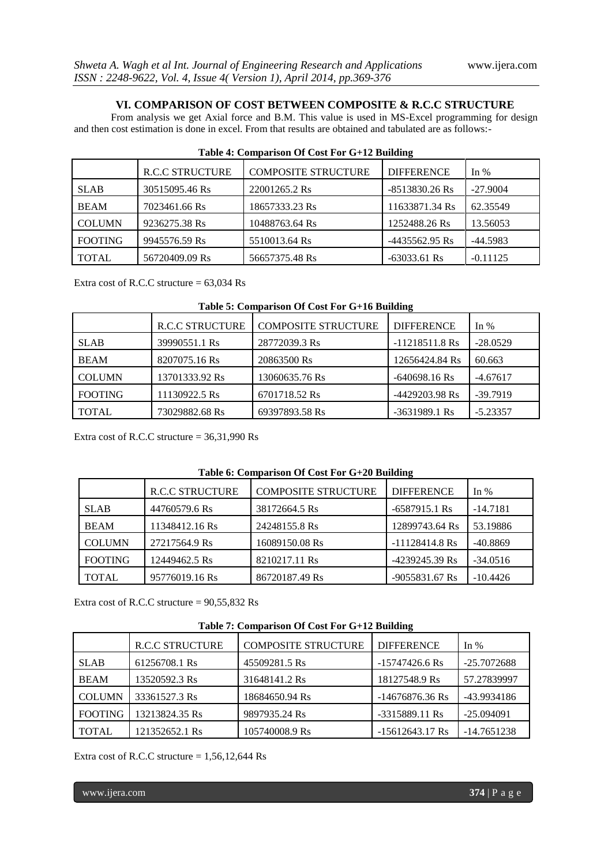# **VI. COMPARISON OF COST BETWEEN COMPOSITE & R.C.C STRUCTURE**

From analysis we get Axial force and B.M. This value is used in MS-Excel programming for design and then cost estimation is done in excel. From that results are obtained and tabulated are as follows:-

|                | <b>R.C.C STRUCTURE</b> | <b>COMPOSITE STRUCTURE</b> | <b>DIFFERENCE</b> | In $%$     |
|----------------|------------------------|----------------------------|-------------------|------------|
| <b>SLAB</b>    | 30515095.46 Rs         | 22001265.2 Rs              | $-8513830.26$ Rs  | $-27.9004$ |
| <b>BEAM</b>    | 7023461.66 Rs          | 18657333.23 Rs             | 11633871.34 Rs    | 62.35549   |
| <b>COLUMN</b>  | 9236275.38 Rs          | 10488763.64 Rs             | 1252488.26 Rs     | 13.56053   |
| <b>FOOTING</b> | 9945576.59 Rs          | 5510013.64 Rs              | $-4435562.95$ Rs  | $-44.5983$ |
| TOTAL          | 56720409.09 Rs         | 56657375.48 Rs             | $-63033.61$ Rs    | $-0.11125$ |

|  |  |  | Table 4: Comparison Of Cost For G+12 Building |
|--|--|--|-----------------------------------------------|
|--|--|--|-----------------------------------------------|

Extra cost of R.C.C structure = 63,034 Rs

| Table 5: Comparison Of Cost For G+16 Building |  |  |
|-----------------------------------------------|--|--|
|-----------------------------------------------|--|--|

|                | <b>R.C.C STRUCTURE</b> | <b>COMPOSITE STRUCTURE</b> | <b>DIFFERENCE</b> | In $%$     |
|----------------|------------------------|----------------------------|-------------------|------------|
| <b>SLAB</b>    | 39990551.1 Rs          | 28772039.3 Rs              | $-11218511.8$ Rs  | $-28.0529$ |
| <b>BEAM</b>    | 8207075.16 Rs          | 20863500 Rs                | 12656424.84 Rs    | 60.663     |
| <b>COLUMN</b>  | 13701333.92 Rs         | 13060635.76 Rs             | $-640698.16$ Rs   | $-4.67617$ |
| <b>FOOTING</b> | 11130922.5 Rs          | 6701718.52 Rs              | -4429203.98 Rs    | $-39.7919$ |
| <b>TOTAL</b>   | 73029882.68 Rs         | 69397893.58 Rs             | $-3631989.1$ Rs   | $-5.23357$ |

Extra cost of R.C.C structure = 36,31,990 Rs

|  | Table 6: Comparison Of Cost For G+20 Building |
|--|-----------------------------------------------|
|  |                                               |

|                | <b>R.C.C STRUCTURE</b> | <b>COMPOSITE STRUCTURE</b> | <b>DIFFERENCE</b> | In $%$     |
|----------------|------------------------|----------------------------|-------------------|------------|
| <b>SLAB</b>    | 44760579.6 Rs          | 38172664.5 Rs              | $-6587915.1$ Rs   | $-14.7181$ |
| <b>BEAM</b>    | 11348412.16 Rs         | 24248155.8 Rs              | 12899743.64 Rs    | 53.19886   |
| <b>COLUMN</b>  | 27217564.9 Rs          | 16089150.08 Rs             | $-11128414.8$ Rs  | $-40.8869$ |
| <b>FOOTING</b> | 12449462.5 Rs          | 8210217.11 Rs              | $-4239245.39$ Rs  | $-34.0516$ |
| <b>TOTAL</b>   | 95776019.16 Rs         | 86720187.49 Rs             | $-9055831.67$ Rs  | $-10.4426$ |

Extra cost of R.C.C structure = 90,55,832 Rs

**Table 7: Comparison Of Cost For G+12 Building**

|                | <b>R.C.C STRUCTURE</b> | <b>COMPOSITE STRUCTURE</b> | <b>DIFFERENCE</b> | In $%$        |
|----------------|------------------------|----------------------------|-------------------|---------------|
| <b>SLAB</b>    | 61256708.1 Rs          | 45509281.5 Rs              | $-15747426.6$ Rs  | -25.7072688   |
| <b>BEAM</b>    | 13520592.3 Rs          | 31648141.2 Rs              | 18127548.9 Rs     | 57.27839997   |
| <b>COLUMN</b>  | 33361527.3 Rs          | 18684650.94 Rs             | $-14676876.36$ Rs | -43.9934186   |
| <b>FOOTING</b> | 13213824.35 Rs         | 9897935.24 Rs              | $-3315889.11$ Rs  | $-25.094091$  |
| <b>TOTAL</b>   | 121352652.1 Rs         | 105740008.9 Rs             | $-15612643.17$ Rs | $-14.7651238$ |

Extra cost of R.C.C structure  $= 1,56,12,644$  Rs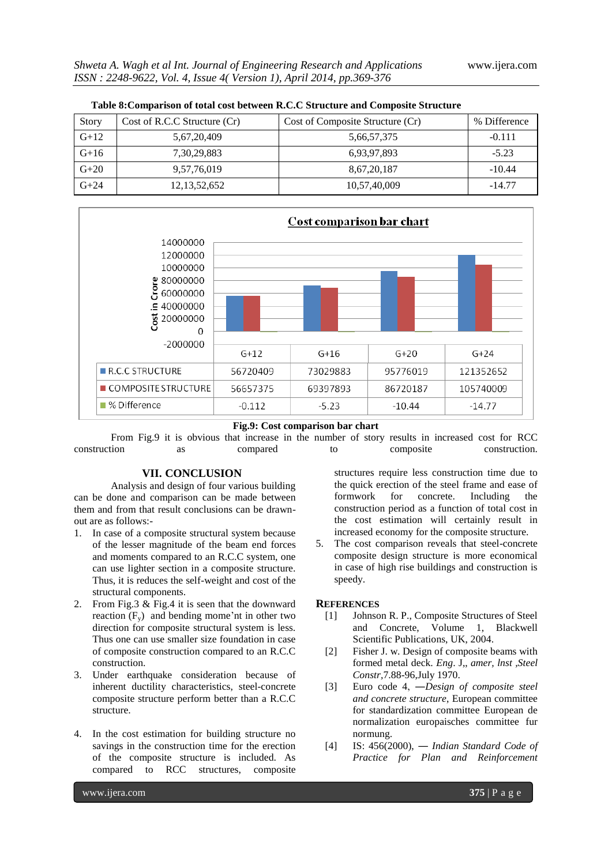| <b>Story</b> | Cost of R.C.C Structure (Cr) | Cost of Composite Structure (Cr) | % Difference |  |  |  |
|--------------|------------------------------|----------------------------------|--------------|--|--|--|
| $G+12$       | 5,67,20,409                  | 5,66,57,375                      | $-0.111$     |  |  |  |
| $G+16$       | 7, 30, 29, 883               | 6,93,97,893                      | $-5.23$      |  |  |  |
| $G+20$       | 9,57,76,019                  | 8,67,20,187                      | $-10.44$     |  |  |  |
| $G+24$       | 12, 13, 52, 652              | 10,57,40,009                     | $-14.77$     |  |  |  |



#### **Fig.9: Cost comparison bar chart**

From Fig.9 it is obvious that increase in the number of story results in increased cost for RCC construction as compared to composite construction.

#### **VII. CONCLUSION**

Analysis and design of four various building can be done and comparison can be made between them and from that result conclusions can be drawnout are as follows:-

- 1. In case of a composite structural system because of the lesser magnitude of the beam end forces and moments compared to an R.C.C system, one can use lighter section in a composite structure. Thus, it is reduces the self-weight and cost of the structural components.
- 2. From Fig.3 & Fig.4 it is seen that the downward reaction  $(F_v)$  and bending mome'nt in other two direction for composite structural system is less. Thus one can use smaller size foundation in case of composite construction compared to an R.C.C construction.
- 3. Under earthquake consideration because of inherent ductility characteristics, steel-concrete composite structure perform better than a R.C.C structure.
- 4. In the cost estimation for building structure no savings in the construction time for the erection of the composite structure is included. As compared to RCC structures, composite

structures require less construction time due to the quick erection of the steel frame and ease of formwork for concrete. Including the construction period as a function of total cost in the cost estimation will certainly result in increased economy for the composite structure.

5. The cost comparison reveals that steel-concrete composite design structure is more economical in case of high rise buildings and construction is speedy.

#### **REFERENCES**

- [1] Johnson R. P., Composite Structures of Steel and Concrete, Volume 1, Blackwell Scientific Publications, UK, 2004.
- [2] Fisher J. w. Design of composite beams with formed metal deck. *Eng*. J,, *amer, lnst ,Steel Constr,*7.88-96,July 1970.
- [3] Euro code 4, ―*Design of composite steel and concrete structure*, European committee for standardization committee European de normalization europaisches committee fur normung.
- [4] IS: 456(2000), ― *Indian Standard Code of Practice for Plan and Reinforcement*